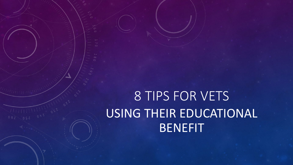# 8 TIPS FOR VETS USING THEIR EDUCATIONAL BENEFIT

 $\frac{1}{10}$   $\frac{1}{10}$   $\frac{1}{10}$   $\frac{1}{10}$   $\frac{2}{10}$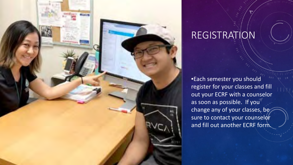

### REGISTRATION

•Each semester you should register for your classes and fill out your ECRF with a counselor as soon as possible. If you change any of your classes, be sure to contact your counselor and fill out another ECRF form.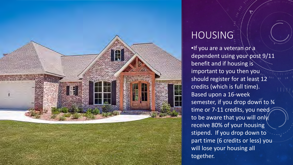

### **HOUSING**

•If you are a veteran or a dependent using your post 9/11 benefit and if housing is important to you then you should register for at least 12 credits (which is full time). Based upon a 16-week semester, if you drop down to 3/4 time or 7-11 credits, you need to be aware that you will only receive 80% of your housing stipend. If you drop down to part time (6 credits or less) you will lose your housing all together.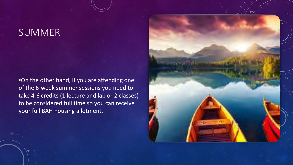### **SUMMER**

•On the other hand, if you are attending one of the 6-week summer sessions you need to take 4-6 credits (1 lecture and lab or 2 classes) to be considered full time so you can receive your full BAH housing allotment.

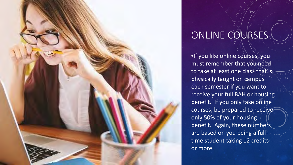

# ONLINE COURSES

•If you like online courses, you must remember that you need to take at least one class that is physically taught on campus each semester if you want to receive your full BAH or housing benefit. If you only take online courses, be prepared to receive only 50% of your housing benefit. Again, these numbers are based on you being a fulltime student taking 12 credits or more.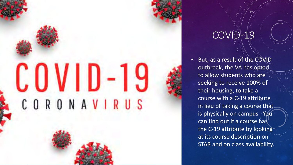# CORONAVIRUS

# COVID-19

But, as a result of the COVID outbreak, the VA has opted to allow students who are seeking to receive 100% of their housing, to take a course with a C-19 attribute in lieu of taking a course that is physically on campus. You can find out if a course has the C-19 attribute by looking at its course description on STAR and on class availability.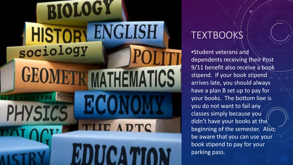

## TEXTBOOKS

•Student veterans and dependents receiving their Post 9/11 benefit also receive a book stipend. If your book stipend arrives late, you should always have a plan B set up to pay for your books. The bottom line is you do not want to fail any classes simply because you didn't have your books at the beginning of the semester. Also, be aware that you can use your book stipend to pay for your parking pass.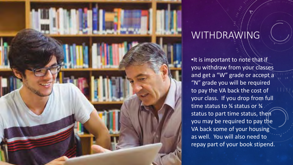

### WITHDRAWING

•It is important to note that if you withdraw from your classes and get a "W" grade or accept a "N" grade you will be required to pay the VA back the cost of your class. If you drop from full time status to 3⁄4 status or 3⁄4 status to part time status, then you may be required to pay the VA back some of your housing as well. You will also need to repay part of your book stipend.